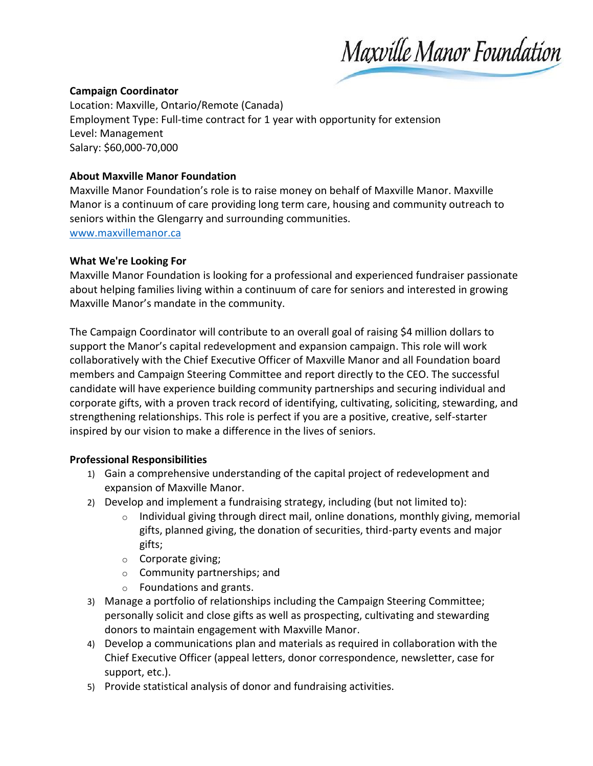Maxville Manor Foundation

### **Campaign Coordinator**

Location: Maxville, Ontario/Remote (Canada) Employment Type: Full-time contract for 1 year with opportunity for extension Level: Management Salary: \$60,000-70,000

#### **About Maxville Manor Foundation**

Maxville Manor Foundation's role is to raise money on behalf of Maxville Manor. Maxville Manor is a continuum of care providing long term care, housing and community outreach to seniors within the Glengarry and surrounding communities. [www.maxvillemanor.ca](http://www.maxvillemanor.ca/)

#### **What We're Looking For**

Maxville Manor Foundation is looking for a professional and experienced fundraiser passionate about helping families living within a continuum of care for seniors and interested in growing Maxville Manor's mandate in the community.

The Campaign Coordinator will contribute to an overall goal of raising \$4 million dollars to support the Manor's capital redevelopment and expansion campaign. This role will work collaboratively with the Chief Executive Officer of Maxville Manor and all Foundation board members and Campaign Steering Committee and report directly to the CEO. The successful candidate will have experience building community partnerships and securing individual and corporate gifts, with a proven track record of identifying, cultivating, soliciting, stewarding, and strengthening relationships. This role is perfect if you are a positive, creative, self-starter inspired by our vision to make a difference in the lives of seniors.

## **Professional Responsibilities**

- 1) Gain a comprehensive understanding of the capital project of redevelopment and expansion of Maxville Manor.
- 2) Develop and implement a fundraising strategy, including (but not limited to):
	- $\circ$  Individual giving through direct mail, online donations, monthly giving, memorial gifts, planned giving, the donation of securities, third-party events and major gifts;
	- o Corporate giving;
	- o Community partnerships; and
	- o Foundations and grants.
- 3) Manage a portfolio of relationships including the Campaign Steering Committee; personally solicit and close gifts as well as prospecting, cultivating and stewarding donors to maintain engagement with Maxville Manor.
- 4) Develop a communications plan and materials as required in collaboration with the Chief Executive Officer (appeal letters, donor correspondence, newsletter, case for support, etc.).
- 5) Provide statistical analysis of donor and fundraising activities.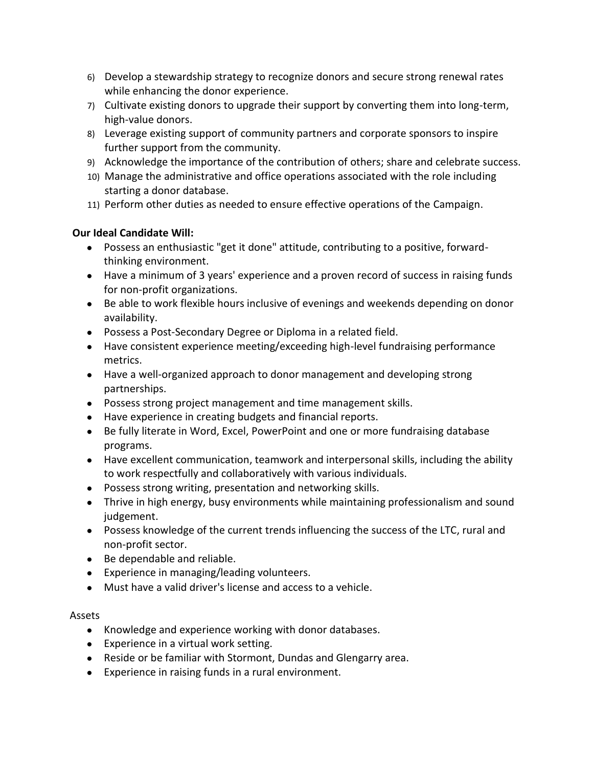- 6) Develop a stewardship strategy to recognize donors and secure strong renewal rates while enhancing the donor experience.
- 7) Cultivate existing donors to upgrade their support by converting them into long-term, high-value donors.
- 8) Leverage existing support of community partners and corporate sponsors to inspire further support from the community.
- 9) Acknowledge the importance of the contribution of others; share and celebrate success.
- 10) Manage the administrative and office operations associated with the role including starting a donor database.
- 11) Perform other duties as needed to ensure effective operations of the Campaign.

# **Our Ideal Candidate Will:**

- Possess an enthusiastic "get it done" attitude, contributing to a positive, forwardthinking environment.
- Have a minimum of 3 years' experience and a proven record of success in raising funds for non-profit organizations.
- Be able to work flexible hours inclusive of evenings and weekends depending on donor availability.
- Possess a Post-Secondary Degree or Diploma in a related field.
- Have consistent experience meeting/exceeding high-level fundraising performance metrics.
- Have a well-organized approach to donor management and developing strong partnerships.
- Possess strong project management and time management skills.
- Have experience in creating budgets and financial reports.
- Be fully literate in Word, Excel, PowerPoint and one or more fundraising database programs.
- Have excellent communication, teamwork and interpersonal skills, including the ability to work respectfully and collaboratively with various individuals.
- Possess strong writing, presentation and networking skills.
- Thrive in high energy, busy environments while maintaining professionalism and sound judgement.
- Possess knowledge of the current trends influencing the success of the LTC, rural and non-profit sector.
- Be dependable and reliable.
- Experience in managing/leading volunteers.
- Must have a valid driver's license and access to a vehicle.

## Assets

- Knowledge and experience working with donor databases.
- Experience in a virtual work setting.
- Reside or be familiar with Stormont, Dundas and Glengarry area.
- Experience in raising funds in a rural environment.